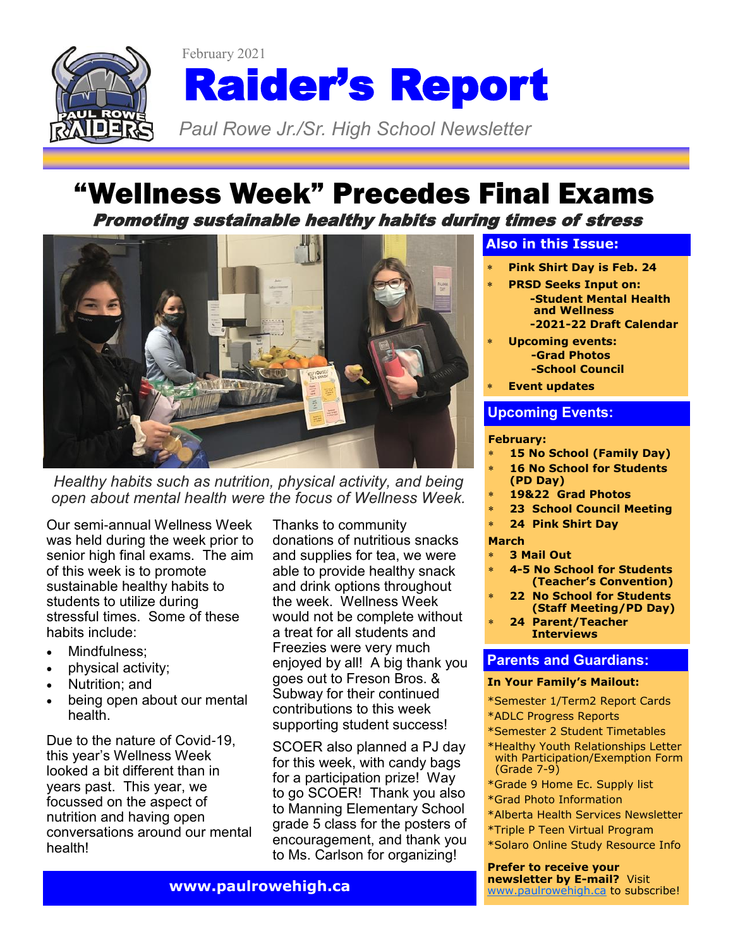

# Raider's Report

*Paul Rowe Jr./Sr. High School Newsletter* 

### "Wellness Week" Precedes Final Exams Promoting sustainable healthy habits during times of stress



*Healthy habits such as nutrition, physical activity, and being open about mental health were the focus of Wellness Week.*

Our semi-annual Wellness Week was held during the week prior to senior high final exams. The aim of this week is to promote sustainable healthy habits to students to utilize during stressful times. Some of these habits include:

- Mindfulness;
- physical activity;
- Nutrition; and
- being open about our mental health.

Due to the nature of Covid-19, this year's Wellness Week looked a bit different than in years past. This year, we focussed on the aspect of nutrition and having open conversations around our mental health!

Thanks to community donations of nutritious snacks and supplies for tea, we were able to provide healthy snack and drink options throughout the week. Wellness Week would not be complete without a treat for all students and Freezies were very much enjoyed by all! A big thank you goes out to Freson Bros. & Subway for their continued contributions to this week supporting student success!

SCOER also planned a PJ day for this week, with candy bags for a participation prize! Way to go SCOER! Thank you also to Manning Elementary School grade 5 class for the posters of encouragement, and thank you to Ms. Carlson for organizing!

### **Also in this Issue:**

- **Pink Shirt Day is Feb. 24**
- **PRSD Seeks Input on: -Student Mental Health and Wellness -2021-22 Draft Calendar**
- **Upcoming events: -Grad Photos -School Council**
- **Event updates**

### **Upcoming Events:**

### **February:**

- **15 No School (Family Day)**
- **16 No School for Students**
- **(PD Day)**
- **19&22 Grad Photos**
- **23 School Council Meeting**
- **24 Pink Shirt Day**

### **March**

- **3 Mail Out**
- **4-5 No School for Students (Teacher's Convention)**
- **22 No School for Students (Staff Meeting/PD Day)**
- **24 Parent/Teacher Interviews**

### **Parents and Guardians:**

### **In Your Family's Mailout:**

- \*Semester 1/Term2 Report Cards
- \*ADLC Progress Reports
- \*Semester 2 Student Timetables
- \*Healthy Youth Relationships Letter with Participation/Exemption Form (Grade 7-9)
- \*Grade 9 Home Ec. Supply list
- \*Grad Photo Information
- \*Alberta Health Services Newsletter
- \*Triple P Teen Virtual Program
- \*Solaro Online Study Resource Info

**Prefer to receive your newsletter by E-mail?** Visit [www.paulrowehigh.ca](http://www.paulrowehigh.ca) to subscribe!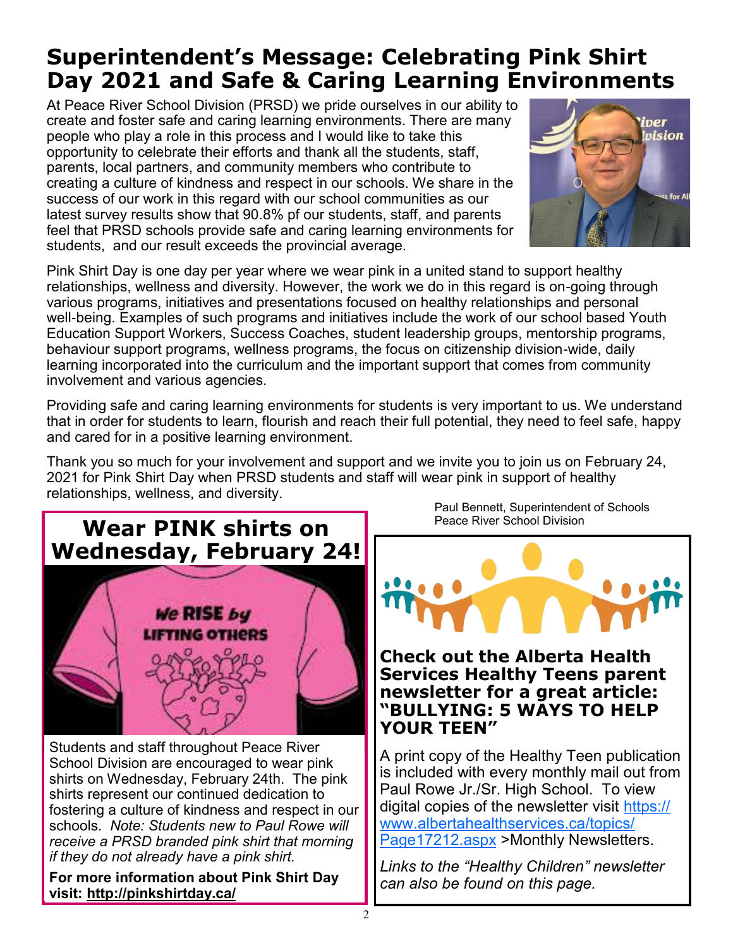# **Superintendent's Message: Celebrating Pink Shirt Day 2021 and Safe & Caring Learning Environments**

At Peace River School Division (PRSD) we pride ourselves in our ability to create and foster safe and caring learning environments. There are many people who play a role in this process and I would like to take this opportunity to celebrate their efforts and thank all the students, staff, parents, local partners, and community members who contribute to creating a culture of kindness and respect in our schools. We share in the success of our work in this regard with our school communities as our latest survey results show that 90.8% pf our students, staff, and parents feel that PRSD schools provide safe and caring learning environments for students, and our result exceeds the provincial average.



Pink Shirt Day is one day per year where we wear pink in a united stand to support healthy relationships, wellness and diversity. However, the work we do in this regard is on-going through various programs, initiatives and presentations focused on healthy relationships and personal well-being. Examples of such programs and initiatives include the work of our school based Youth Education Support Workers, Success Coaches, student leadership groups, mentorship programs, behaviour support programs, wellness programs, the focus on citizenship division-wide, daily learning incorporated into the curriculum and the important support that comes from community involvement and various agencies.

Providing safe and caring learning environments for students is very important to us. We understand that in order for students to learn, flourish and reach their full potential, they need to feel safe, happy and cared for in a positive learning environment.

Thank you so much for your involvement and support and we invite you to join us on February 24, 2021 for Pink Shirt Day when PRSD students and staff will wear pink in support of healthy relationships, wellness, and diversity.

# **Wear PINK shirts on Wednesday, February 24!**



Students and staff throughout Peace River School Division are encouraged to wear pink shirts on Wednesday, February 24th. The pink shirts represent our continued dedication to fostering a culture of kindness and respect in our schools. *Note: Students new to Paul Rowe will receive a PRSD branded pink shirt that morning if they do not already have a pink shirt.*

**For more information about Pink Shirt Day visit: <http://pinkshirtday.ca/>**

Paul Bennett, Superintendent of Schools Peace River School Division



**Check out the Alberta Health Services Healthy Teens parent newsletter for a great article: "BULLYING: 5 WAYS TO HELP YOUR TEEN"**

A print copy of the Healthy Teen publication is included with every monthly mail out from Paul Rowe Jr./Sr. High School. To view digital copies of the newsletter visit [https://](https://www.albertahealthservices.ca/topics/Page17212.aspx) [www.albertahealthservices.ca/topics/](https://www.albertahealthservices.ca/topics/Page17212.aspx) [Page17212.aspx](https://www.albertahealthservices.ca/topics/Page17212.aspx) >Monthly Newsletters.

*Links to the "Healthy Children" newsletter can also be found on this page.*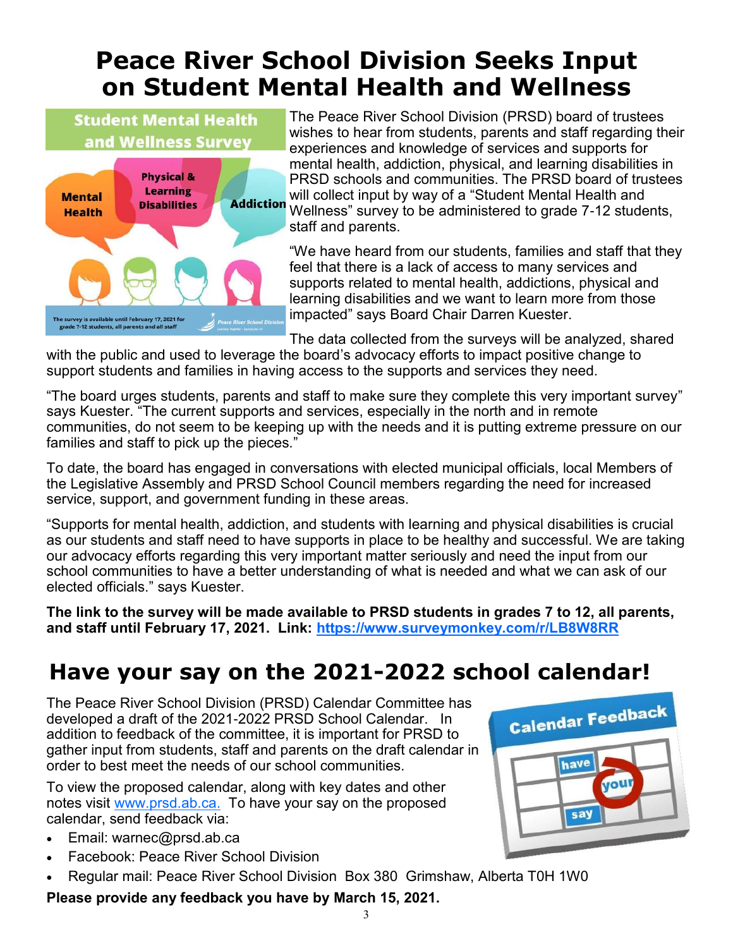# **Peace River School Division Seeks Input on Student Mental Health and Wellness**

**Student Mental Health** and Wellness Survey **Physical &** Learning **Mental Addiction Disabilities Health** he survey is available until February 17, 2021 fo<br>grade 7-12 students, all parents and all staff

The Peace River School Division (PRSD) board of trustees wishes to hear from students, parents and staff regarding their experiences and knowledge of services and supports for mental health, addiction, physical, and learning disabilities in PRSD schools and communities. The PRSD board of trustees will collect input by way of a "Student Mental Health and Wellness" survey to be administered to grade 7-12 students, staff and parents.

"We have heard from our students, families and staff that they feel that there is a lack of access to many services and supports related to mental health, addictions, physical and learning disabilities and we want to learn more from those impacted" says Board Chair Darren Kuester.

The data collected from the surveys will be analyzed, shared

with the public and used to leverage the board's advocacy efforts to impact positive change to support students and families in having access to the supports and services they need.

"The board urges students, parents and staff to make sure they complete this very important survey" says Kuester. "The current supports and services, especially in the north and in remote communities, do not seem to be keeping up with the needs and it is putting extreme pressure on our families and staff to pick up the pieces."

To date, the board has engaged in conversations with elected municipal officials, local Members of the Legislative Assembly and PRSD School Council members regarding the need for increased service, support, and government funding in these areas.

"Supports for mental health, addiction, and students with learning and physical disabilities is crucial as our students and staff need to have supports in place to be healthy and successful. We are taking our advocacy efforts regarding this very important matter seriously and need the input from our school communities to have a better understanding of what is needed and what we can ask of our elected officials." says Kuester.

**The link to the survey will be made available to PRSD students in grades 7 to 12, all parents, and staff until February 17, 2021. Link: <https://www.surveymonkey.com/r/LB8W8RR>**

# **Have your say on the 2021-2022 school calendar!**

The Peace River School Division (PRSD) Calendar Committee has developed a draft of the 2021-2022 PRSD School Calendar. In addition to feedback of the committee, it is important for PRSD to gather input from students, staff and parents on the draft calendar in order to best meet the needs of our school communities.

To view the proposed calendar, along with key dates and other notes visit [www.prsd.ab.ca.](http://www.prsd.ab.ca.) To have your say on the proposed calendar, send feedback via:

- Email: warnec@prsd.ab.ca
- Facebook: Peace River School Division
- Regular mail: Peace River School Division Box 380 Grimshaw, Alberta T0H 1W0

### **Please provide any feedback you have by March 15, 2021.**

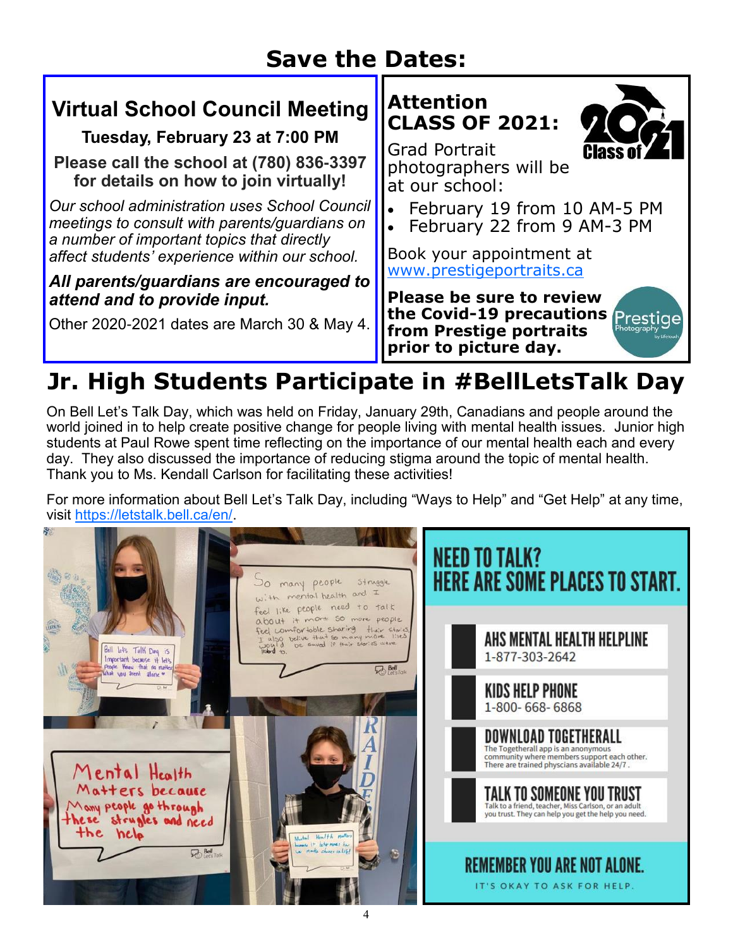# **Save the Dates:**

### **Virtual School Council Meeting**

**Tuesday, February 23 at 7:00 PM**

**Please call the school at (780) 836-3397 for details on how to join virtually!**

*Our school administration uses School Council meetings to consult with parents/guardians on a number of important topics that directly affect students' experience within our school.* 

### *All parents/guardians are encouraged to attend and to provide input.*

Other 2020-2021 dates are March 30 & May 4.





Grad Portrait photographers will be at our school:

- February 19 from 10 AM-5 PM
- February 22 from 9 AM-3 PM

Book your appointment at [www.prestigeportraits.ca](http://www.prestigeportraits.ca)

**Please be sure to review the Covid-19 precautions from Prestige portraits prior to picture day.**



# **Jr. High Students Participate in #BellLetsTalk Day**

On Bell Let's Talk Day, which was held on Friday, January 29th, Canadians and people around the world joined in to help create positive change for people living with mental health issues. Junior high students at Paul Rowe spent time reflecting on the importance of our mental health each and every day. They also discussed the importance of reducing stigma around the topic of mental health. Thank you to Ms. Kendall Carlson for facilitating these activities!

For more information about Bell Let's Talk Day, including "Ways to Help" and "Get Help" at any time, visit [https://letstalk.bell.ca/en/.](https://letstalk.bell.ca/en/) 

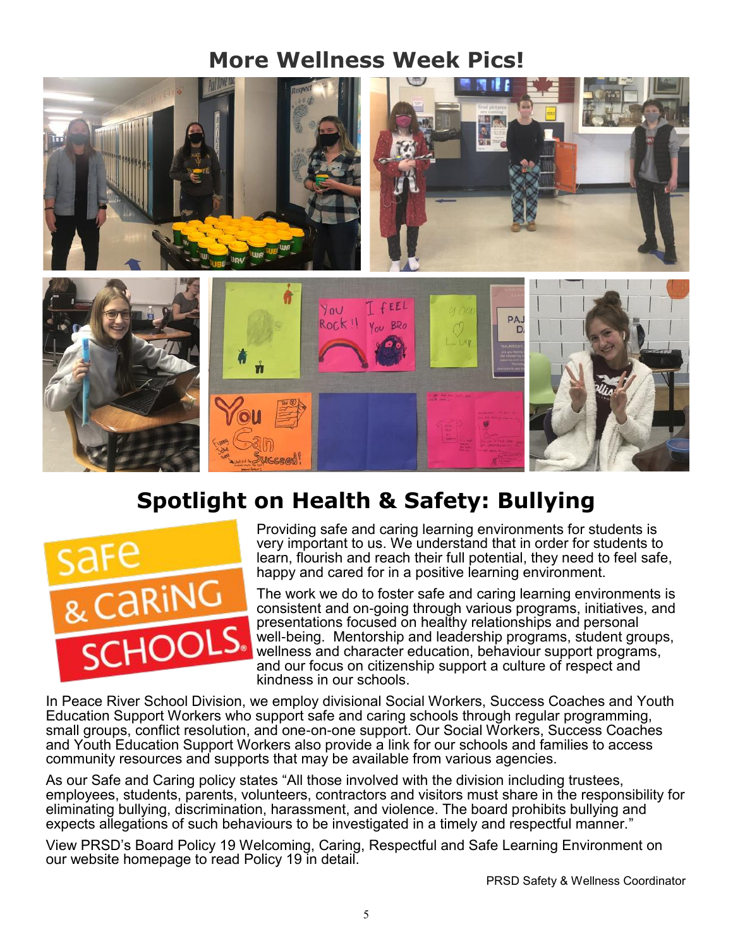## **More Wellness Week Pics!**



# **Spotlight on Health & Safety: Bullying**



Providing safe and caring learning environments for students is very important to us. We understand that in order for students to learn, flourish and reach their full potential, they need to feel safe, happy and cared for in a positive learning environment.

The work we do to foster safe and caring learning environments is consistent and on-going through various programs, initiatives, and presentations focused on healthy relationships and personal well-being. Mentorship and leadership programs, student groups, wellness and character education, behaviour support programs, and our focus on citizenship support a culture of respect and kindness in our schools.

In Peace River School Division, we employ divisional Social Workers, Success Coaches and Youth Education Support Workers who support safe and caring schools through regular programming, small groups, conflict resolution, and one-on-one support. Our Social Workers, Success Coaches and Youth Education Support Workers also provide a link for our schools and families to access community resources and supports that may be available from various agencies.

As our Safe and Caring policy states "All those involved with the division including trustees, employees, students, parents, volunteers, contractors and visitors must share in the responsibility for eliminating bullying, discrimination, harassment, and violence. The board prohibits bullying and expects allegations of such behaviours to be investigated in a timely and respectful manner."

View PRSD's Board Policy 19 Welcoming, Caring, Respectful and Safe Learning Environment on our website homepage to read Policy 19 in detail.